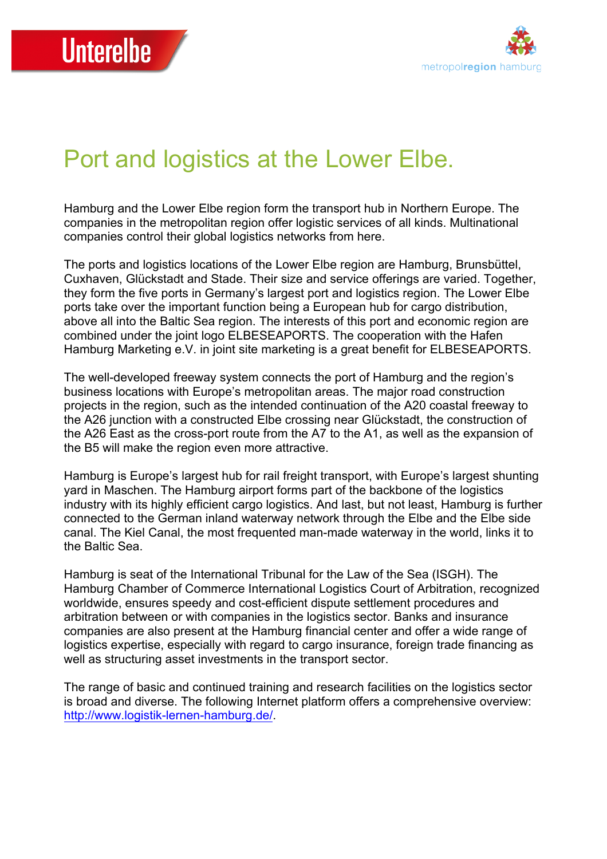

## Port and logistics at the Lower Elbe.

Hamburg and the Lower Elbe region form the transport hub in Northern Europe. The companies in the metropolitan region offer logistic services of all kinds. Multinational companies control their global logistics networks from here.

The ports and logistics locations of the Lower Elbe region are Hamburg, Brunsbüttel, Cuxhaven, Glückstadt and Stade. Their size and service offerings are varied. Together, they form the five ports in Germany's largest port and logistics region. The Lower Elbe ports take over the important function being a European hub for cargo distribution, above all into the Baltic Sea region. The interests of this port and economic region are combined under the joint logo ELBESEAPORTS. The cooperation with the Hafen Hamburg Marketing e.V. in joint site marketing is a great benefit for ELBESEAPORTS.

The well-developed freeway system connects the port of Hamburg and the region's business locations with Europe's metropolitan areas. The major road construction projects in the region, such as the intended continuation of the A20 coastal freeway to the A26 junction with a constructed Elbe crossing near Glückstadt, the construction of the A26 East as the cross-port route from the A7 to the A1, as well as the expansion of the B5 will make the region even more attractive.

Hamburg is Europe's largest hub for rail freight transport, with Europe's largest shunting yard in Maschen. The Hamburg airport forms part of the backbone of the logistics industry with its highly efficient cargo logistics. And last, but not least, Hamburg is further connected to the German inland waterway network through the Elbe and the Elbe side canal. The Kiel Canal, the most frequented man-made waterway in the world, links it to the Baltic Sea.

Hamburg is seat of the International Tribunal for the Law of the Sea (ISGH). The Hamburg Chamber of Commerce International Logistics Court of Arbitration, recognized worldwide, ensures speedy and cost-efficient dispute settlement procedures and arbitration between or with companies in the logistics sector. Banks and insurance companies are also present at the Hamburg financial center and offer a wide range of logistics expertise, especially with regard to cargo insurance, foreign trade financing as well as structuring asset investments in the transport sector.

The range of basic and continued training and research facilities on the logistics sector is broad and diverse. The following Internet platform offers a comprehensive overview: http://www.logistik-lernen-hamburg.de/.